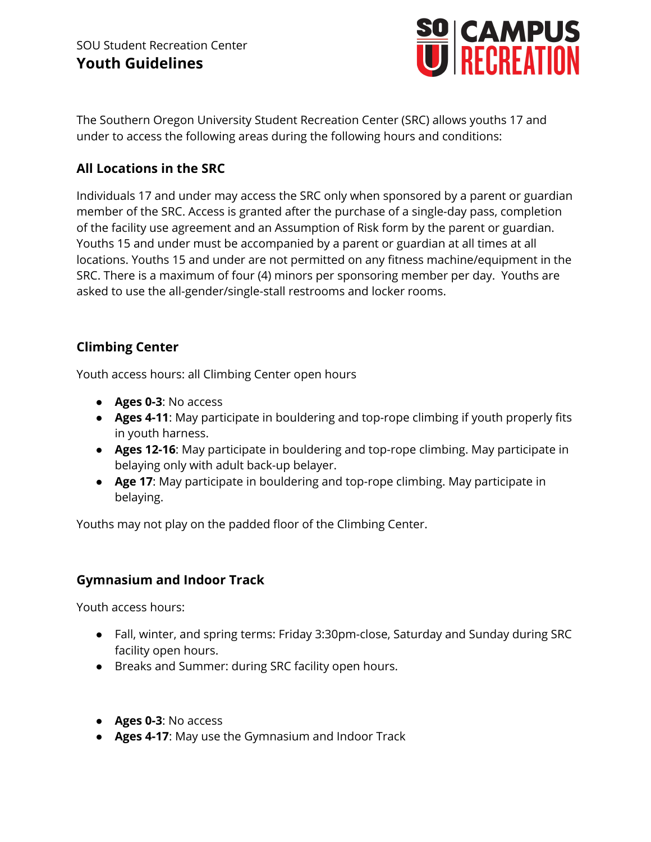

The Southern Oregon University Student Recreation Center (SRC) allows youths 17 and under to access the following areas during the following hours and conditions:

# **All Locations in the SRC**

Individuals 17 and under may access the SRC only when sponsored by a parent or guardian member of the SRC. Access is granted after the purchase of a single-day pass, completion of the facility use agreement and an Assumption of Risk form by the parent or guardian. Youths 15 and under must be accompanied by a parent or guardian at all times at all locations. Youths 15 and under are not permitted on any fitness machine/equipment in the SRC. There is a maximum of four (4) minors per sponsoring member per day. Youths are asked to use the all-gender/single-stall restrooms and locker rooms.

# **Climbing Center**

Youth access hours: all Climbing Center open hours

- **Ages 0-3**: No access
- **Ages 4-11**: May participate in bouldering and top-rope climbing if youth properly fits in youth harness.
- **● Ages 12-16**: May participate in bouldering and top-rope climbing. May participate in belaying only with adult back-up belayer.
- **● Age 17**: May participate in bouldering and top-rope climbing. May participate in belaying.

Youths may not play on the padded floor of the Climbing Center.

# **Gymnasium and Indoor Track**

Youth access hours:

- Fall, winter, and spring terms: Friday 3:30pm-close, Saturday and Sunday during SRC facility open hours.
- Breaks and Summer: during SRC facility open hours.
- **● Ages 0-3**: No access
- **● Ages 4-17**: May use the Gymnasium and Indoor Track